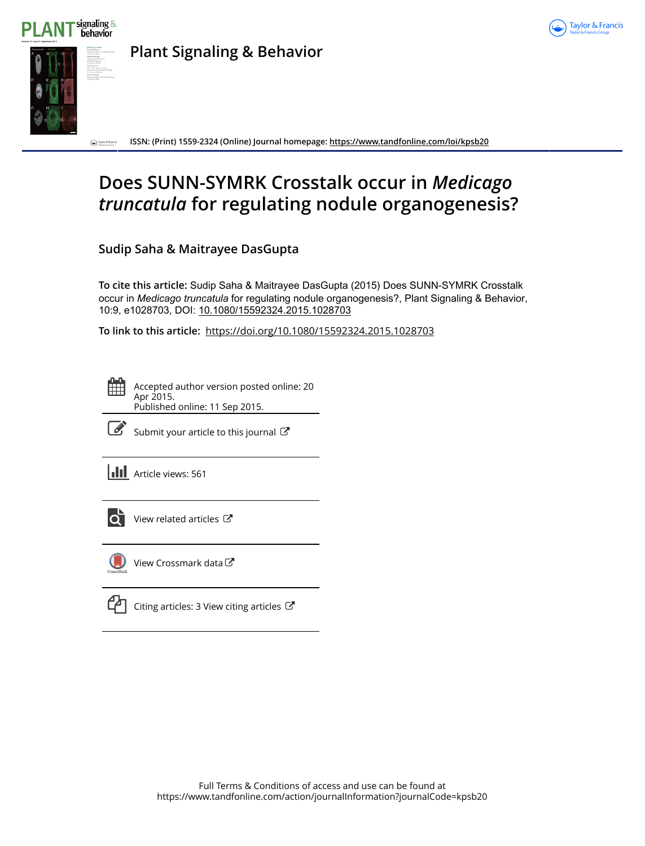



**Plant Signaling & Behavior**

**ISSN: (Print) 1559-2324 (Online) Journal homepage:<https://www.tandfonline.com/loi/kpsb20>** D Taylor & Francis

# **Does SUNN-SYMRK Crosstalk occur in** *Medicago truncatula* **for regulating nodule organogenesis?**

**Sudip Saha & Maitrayee DasGupta**

**To cite this article:** Sudip Saha & Maitrayee DasGupta (2015) Does SUNN-SYMRK Crosstalk occur in *Medicago truncatula* for regulating nodule organogenesis?, Plant Signaling & Behavior, 10:9, e1028703, DOI: [10.1080/15592324.2015.1028703](https://www.tandfonline.com/action/showCitFormats?doi=10.1080/15592324.2015.1028703)

**To link to this article:** <https://doi.org/10.1080/15592324.2015.1028703>

Accepted author version posted online: 20 Apr 2015. Published online: 11 Sep 2015.



 $\mathbb{Z}$  [Submit your article to this journal](https://www.tandfonline.com/action/authorSubmission?journalCode=kpsb20&show=instructions)  $\mathbb{Z}$ 

**III** Article views: 561



[View related articles](https://www.tandfonline.com/doi/mlt/10.1080/15592324.2015.1028703)  $\mathbb{Z}$ 



[View Crossmark data](http://crossmark.crossref.org/dialog/?doi=10.1080/15592324.2015.1028703&domain=pdf&date_stamp=2015-04-20)  $\mathbb{Z}$ 

[Citing articles: 3 View citing articles](https://www.tandfonline.com/doi/citedby/10.1080/15592324.2015.1028703#tabModule)  $\mathbb{Z}$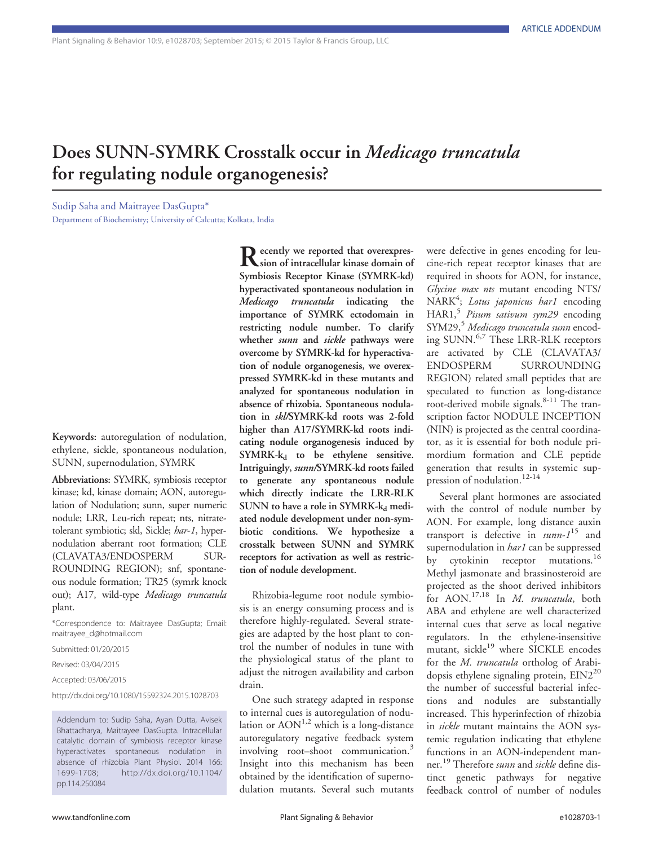## Does SUNN-SYMRK Crosstalk occur in Medicago truncatula for regulating nodule organogenesis?

Sudip Saha and Maitrayee DasGupta\* Department of Biochemistry; University of Calcutta; Kolkata, India

Keywords: autoregulation of nodulation, ethylene, sickle, spontaneous nodulation, SUNN, supernodulation, SYMRK

Abbreviations: SYMRK, symbiosis receptor kinase; kd, kinase domain; AON, autoregulation of Nodulation; sunn, super numeric nodule; LRR, Leu-rich repeat; nts, nitratetolerant symbiotic; skl, Sickle; har-1, hypernodulation aberrant root formation; CLE (CLAVATA3/ENDOSPERM SUR-ROUNDING REGION); snf, spontaneous nodule formation; TR25 (symrk knock out); A17, wild-type Medicago truncatula plant.

\*Correspondence to: Maitrayee DasGupta; Email: maitrayee\_d@hotmail.com

Submitted: 01/20/2015

Revised: 03/04/2015

Accepted: 03/06/2015

http://dx.doi.org/10.1080/15592324.2015.1028703

Addendum to: Sudip Saha, Ayan Dutta, Avisek Bhattacharya, Maitrayee DasGupta. Intracellular catalytic domain of symbiosis receptor kinase hyperactivates spontaneous nodulation in absence of rhizobia Plant Physiol. 2014 166: 1699-1708; http://dx.doi.org/10.1104/ pp.114.250084

Recently we reported that overexpres-<br>
Sion of intracellular kinase domain of Symbiosis Receptor Kinase (SYMRK-kd) hyperactivated spontaneous nodulation in Medicago truncatula indicating the importance of SYMRK ectodomain in restricting nodule number. To clarify whether *sunn* and *sickle* pathways were overcome by SYMRK-kd for hyperactivation of nodule organogenesis, we overexpressed SYMRK-kd in these mutants and analyzed for spontaneous nodulation in absence of rhizobia. Spontaneous nodulation in skl/SYMRK-kd roots was 2-fold higher than A17/SYMRK-kd roots indicating nodule organogenesis induced by  $SYMRK-k_d$  to be ethylene sensitive. Intriguingly, sunn/SYMRK-kd roots failed to generate any spontaneous nodule which directly indicate the LRR-RLK SUNN to have a role in SYMRK- $k_d$  mediated nodule development under non-symbiotic conditions. We hypothesize a crosstalk between SUNN and SYMRK receptors for activation as well as restriction of nodule development.

Rhizobia-legume root nodule symbiosis is an energy consuming process and is therefore highly-regulated. Several strategies are adapted by the host plant to control the number of nodules in tune with the physiological status of the plant to adjust the nitrogen availability and carbon drain.

One such strategy adapted in response to internal cues is autoregulation of nodulation or  $AON^{1,2}$  which is a long-distance autoregulatory negative feedback system involving root–shoot communication.<sup>3</sup> Insight into this mechanism has been obtained by the identification of supernodulation mutants. Several such mutants

were defective in genes encoding for leucine-rich repeat receptor kinases that are required in shoots for AON, for instance, Glycine max nts mutant encoding NTS/ NARK<sup>4</sup>; Lotus japonicus har1 encoding HAR1,<sup>5</sup> Pisum sativum sym29 encoding SYM29,<sup>5</sup> Medicago truncatula sunn encoding SUNN.<sup>6,7</sup> These LRR-RLK receptors are activated by CLE (CLAVATA3/ ENDOSPERM SURROUNDING REGION) related small peptides that are speculated to function as long-distance root-derived mobile signals.<sup>8-11</sup> The transcription factor NODULE INCEPTION (NIN) is projected as the central coordinator, as it is essential for both nodule primordium formation and CLE peptide generation that results in systemic suppression of nodulation.<sup>12-14</sup>

Several plant hormones are associated with the control of nodule number by AON. For example, long distance auxin transport is defective in  $\text{sum-1}^{15}$  and supernodulation in *har1* can be suppressed by cytokinin receptor mutations.<sup>16</sup> Methyl jasmonate and brassinosteroid are projected as the shoot derived inhibitors for AON.<sup>17,18</sup> In *M. truncatula*, both ABA and ethylene are well characterized internal cues that serve as local negative regulators. In the ethylene-insensitive mutant, sickle<sup>19</sup> where SICKLE encodes for the M. truncatula ortholog of Arabidopsis ethylene signaling protein,  $EIN2^{20}$ the number of successful bacterial infections and nodules are substantially increased. This hyperinfection of rhizobia in sickle mutant maintains the AON systemic regulation indicating that ethylene functions in an AON-independent manner.<sup>19</sup> Therefore *sunn* and *sickle* define distinct genetic pathways for negative feedback control of number of nodules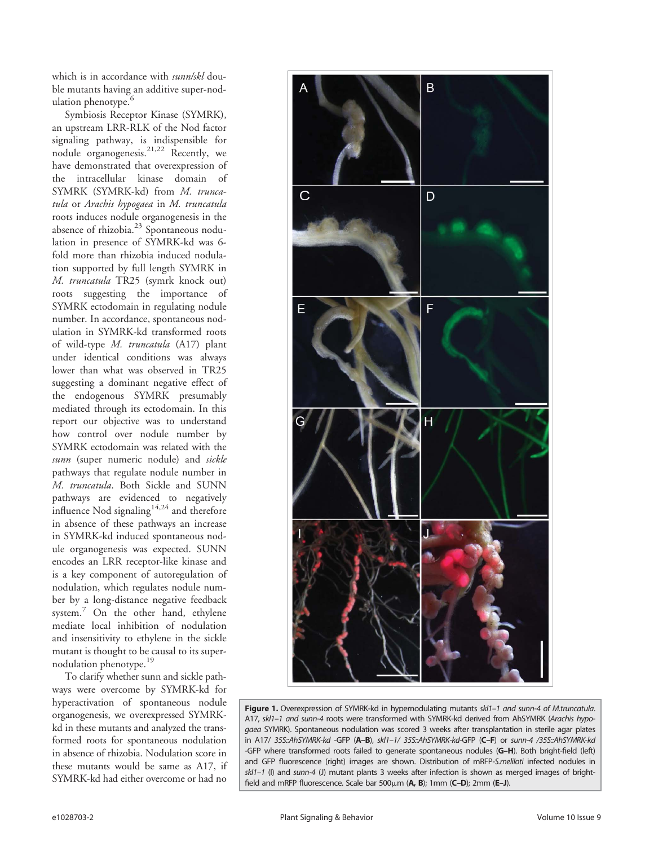which is in accordance with sunn/skl double mutants having an additive super-nodulation phenotype.<sup>6</sup>

Symbiosis Receptor Kinase (SYMRK), an upstream LRR-RLK of the Nod factor signaling pathway, is indispensible for nodule organogenesis.21,22 Recently, we have demonstrated that overexpression of the intracellular kinase domain of SYMRK (SYMRK-kd) from M. truncatula or Arachis hypogaea in M. truncatula roots induces nodule organogenesis in the absence of rhizobia.<sup>23</sup> Spontaneous nodulation in presence of SYMRK-kd was 6 fold more than rhizobia induced nodulation supported by full length SYMRK in M. truncatula TR25 (symrk knock out) roots suggesting the importance of SYMRK ectodomain in regulating nodule number. In accordance, spontaneous nodulation in SYMRK-kd transformed roots of wild-type M. truncatula (A17) plant under identical conditions was always lower than what was observed in TR25 suggesting a dominant negative effect of the endogenous SYMRK presumably mediated through its ectodomain. In this report our objective was to understand how control over nodule number by SYMRK ectodomain was related with the sunn (super numeric nodule) and sickle pathways that regulate nodule number in M. truncatula. Both Sickle and SUNN pathways are evidenced to negatively influence Nod signaling $14,24$  and therefore in absence of these pathways an increase in SYMRK-kd induced spontaneous nodule organogenesis was expected. SUNN encodes an LRR receptor-like kinase and is a key component of autoregulation of nodulation, which regulates nodule number by a long-distance negative feedback system.<sup>7</sup> On the other hand, ethylene mediate local inhibition of nodulation and insensitivity to ethylene in the sickle mutant is thought to be causal to its supernodulation phenotype.<sup>19</sup>

To clarify whether sunn and sickle pathways were overcome by SYMRK-kd for hyperactivation of spontaneous nodule organogenesis, we overexpressed SYMRKkd in these mutants and analyzed the transformed roots for spontaneous nodulation in absence of rhizobia. Nodulation score in these mutants would be same as A17, if SYMRK-kd had either overcome or had no



Figure 1. Overexpression of SYMRK-kd in hypernodulating mutants skl1-1 and sunn-4 of M.truncatula. A17, skl1-1 and sunn-4 roots were transformed with SYMRK-kd derived from AhSYMRK (Arachis hypogaea SYMRK). Spontaneous nodulation was scored 3 weeks after transplantation in sterile agar plates in A17/ 35S::AhSYMRK-kd -GFP (A–B), skl1–1/ 35S::AhSYMRK-kd-GFP (C–F) or sunn-4 /35S::AhSYMRK-kd -GFP where transformed roots failed to generate spontaneous nodules (G-H). Both bright-field (left) and GFP fluorescence (right) images are shown. Distribution of mRFP-S.meliloti infected nodules in  $sk1-1$  (I) and sunn-4 (J) mutant plants 3 weeks after infection is shown as merged images of brightfield and mRFP fluorescence. Scale bar  $500\mu$ m (A, B); 1mm (C-D); 2mm (E-J).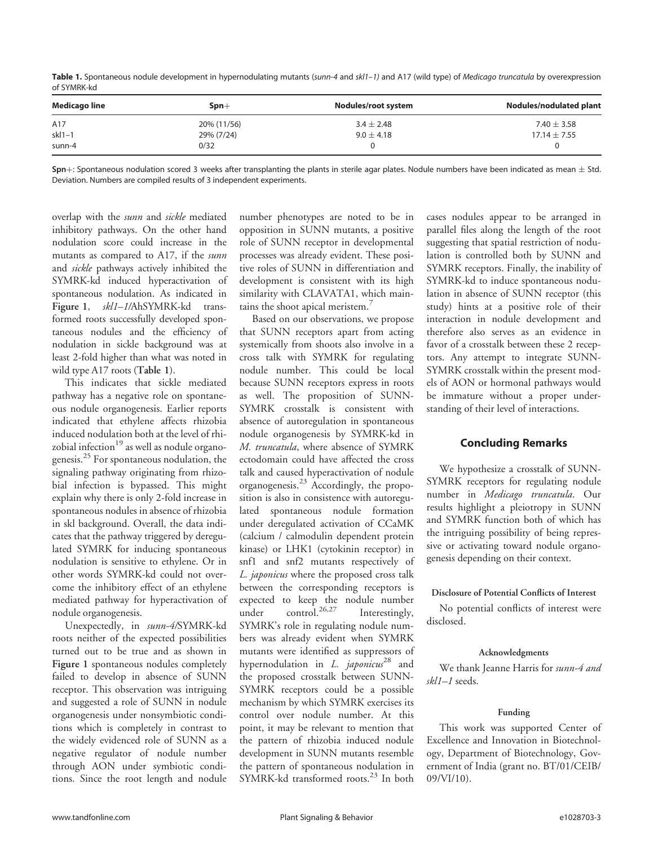Table 1. Spontaneous nodule development in hypernodulating mutants (sunn-4 and skl1-1) and A17 (wild type) of Medicago truncatula by overexpression of SYMRK-kd

| Medicago line | $Spn+$      | Nodules/root system | Nodules/nodulated plant |
|---------------|-------------|---------------------|-------------------------|
| A17           | 20% (11/56) | $3.4 \pm 2.48$      | 7.40 $\pm$ 3.58         |
| $skl1-1$      | 29% (7/24)  | $9.0 \pm 4.18$      | $17.14 \pm 7.55$        |
| sunn-4        | 0/32        |                     |                         |

 $Spn+$ : Spontaneous nodulation scored 3 weeks after transplanting the plants in sterile agar plates. Nodule numbers have been indicated as mean  $\pm$  Std. Deviation. Numbers are compiled results of 3 independent experiments.

overlap with the sunn and sickle mediated inhibitory pathways. On the other hand nodulation score could increase in the mutants as compared to A17, if the sunn and sickle pathways actively inhibited the SYMRK-kd induced hyperactivation of spontaneous nodulation. As indicated in Figure 1, skl1-1/AhSYMRK-kd transformed roots successfully developed spontaneous nodules and the efficiency of nodulation in sickle background was at least 2-fold higher than what was noted in wild type A17 roots (Table 1).

This indicates that sickle mediated pathway has a negative role on spontaneous nodule organogenesis. Earlier reports indicated that ethylene affects rhizobia induced nodulation both at the level of rhizobial infection $19$  as well as nodule organogenesis.<sup>25</sup> For spontaneous nodulation, the signaling pathway originating from rhizobial infection is bypassed. This might explain why there is only 2-fold increase in spontaneous nodules in absence of rhizobia in skl background. Overall, the data indicates that the pathway triggered by deregulated SYMRK for inducing spontaneous nodulation is sensitive to ethylene. Or in other words SYMRK-kd could not overcome the inhibitory effect of an ethylene mediated pathway for hyperactivation of nodule organogenesis.

Unexpectedly, in sunn-4/SYMRK-kd roots neither of the expected possibilities turned out to be true and as shown in Figure 1 spontaneous nodules completely failed to develop in absence of SUNN receptor. This observation was intriguing and suggested a role of SUNN in nodule organogenesis under nonsymbiotic conditions which is completely in contrast to the widely evidenced role of SUNN as a negative regulator of nodule number through AON under symbiotic conditions. Since the root length and nodule

number phenotypes are noted to be in opposition in SUNN mutants, a positive role of SUNN receptor in developmental processes was already evident. These positive roles of SUNN in differentiation and development is consistent with its high similarity with CLAVATA1, which maintains the shoot apical meristem.<sup>7</sup>

Based on our observations, we propose that SUNN receptors apart from acting systemically from shoots also involve in a cross talk with SYMRK for regulating nodule number. This could be local because SUNN receptors express in roots as well. The proposition of SUNN-SYMRK crosstalk is consistent with absence of autoregulation in spontaneous nodule organogenesis by SYMRK-kd in M. truncatula, where absence of SYMRK ectodomain could have affected the cross talk and caused hyperactivation of nodule organogenesis.<sup>23</sup> Accordingly, the proposition is also in consistence with autoregulated spontaneous nodule formation under deregulated activation of CCaMK (calcium / calmodulin dependent protein kinase) or LHK1 (cytokinin receptor) in snf1 and snf2 mutants respectively of L. japonicus where the proposed cross talk between the corresponding receptors is expected to keep the nodule number under control.<sup>26,27</sup> Interestingly, SYMRK's role in regulating nodule numbers was already evident when SYMRK mutants were identified as suppressors of hypernodulation in  $L$ . japonicus<sup>28</sup> and the proposed crosstalk between SUNN-SYMRK receptors could be a possible mechanism by which SYMRK exercises its control over nodule number. At this point, it may be relevant to mention that the pattern of rhizobia induced nodule development in SUNN mutants resemble the pattern of spontaneous nodulation in SYMRK-kd transformed roots.<sup>23</sup> In both

cases nodules appear to be arranged in parallel files along the length of the root suggesting that spatial restriction of nodulation is controlled both by SUNN and SYMRK receptors. Finally, the inability of SYMRK-kd to induce spontaneous nodulation in absence of SUNN receptor (this study) hints at a positive role of their interaction in nodule development and therefore also serves as an evidence in favor of a crosstalk between these 2 receptors. Any attempt to integrate SUNN-SYMRK crosstalk within the present models of AON or hormonal pathways would be immature without a proper understanding of their level of interactions.

### Concluding Remarks

We hypothesize a crosstalk of SUNN-SYMRK receptors for regulating nodule number in Medicago truncatula. Our results highlight a pleiotropy in SUNN and SYMRK function both of which has the intriguing possibility of being repressive or activating toward nodule organogenesis depending on their context.

### Disclosure of Potential Conflicts of Interest

No potential conflicts of interest were disclosed.

#### Acknowledgments

We thank Jeanne Harris for sunn-4 and skl1–1 seeds.

#### Funding

This work was supported Center of Excellence and Innovation in Biotechnology, Department of Biotechnology, Government of India (grant no. BT/01/CEIB/ 09/VI/10).